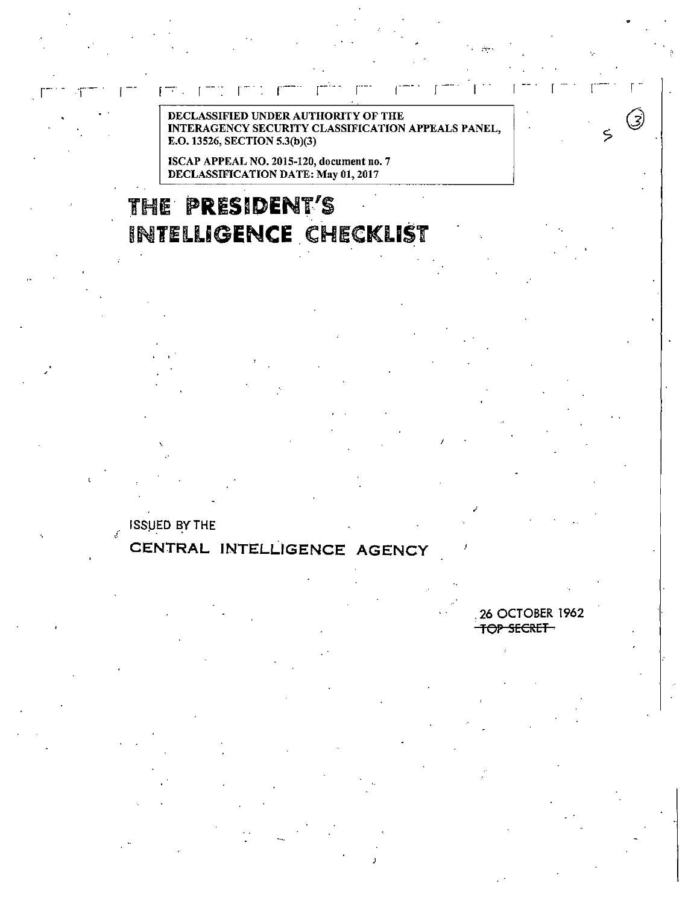DECLASSIFIED UNDER AUTHORITY OF THE<br>INTERAGENCY SECURITY CLASSIFICATION SECURITY CLASSIFICATION APPEALS PANEL, E.O. 13526, SECTION 5.3(b)(3)

ISCAP APPEAL NO. 2015-120, document no. 7 DECLASSIFICATION DATE: May 01, 2017

# JHE **PRESIDENT'S**  INTELLIGENCE CHECKLIST

**ISSUED BY THE** 

下下

.;.

## **CENTRAL INTELLIGENCE AGENCY**

. 26 OCTOBER 1962 TOP SECRET

I

;

 $\sim$ 

 $\large \textcircled{\small{3}}$ 

 $\zeta$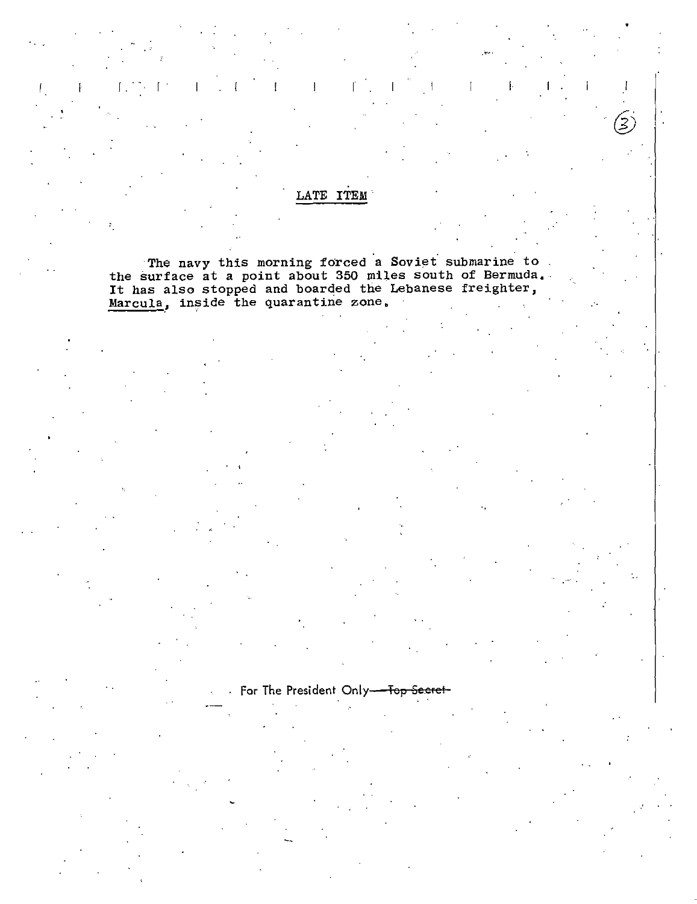### LATE ITEM

The navy this morning forced a Soviet submarine to<br>the surface at a point about 350 miles south of Bermuda.<br>It has also stopped and boarded the Lebanese freighter,<br><u>Marcula</u>, inside the quarantine zone.

For The President Only-<del>- Top Secret</del>-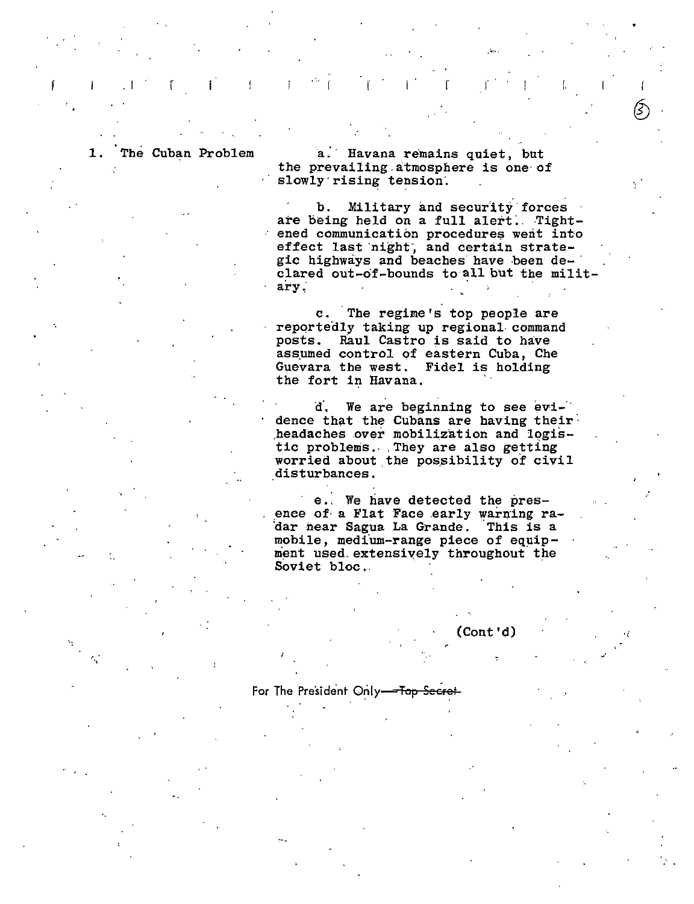$\mathbb{R}$ 

, I

 $\cdot$  .

1. The Cuban Problem a. Havana remains quiet, but the prevailing.atmosphere is one· of slowly'rising tension.

> b. Military and security forces are being held on a full alert. Tightened communication procedures werit into effect last night, and certain strategic highways and beaches have been declared out-o'f-bounds to all but the military.

c. The regime's top people are reportedly taking up regional command posts. Raul Castro is said to have assumed control of eastern Cuba, Che Guevara the west. Fidel is holding the fort in Havana.

d. We are beginning to see evidence that the Cubans are having their· ,headaches over mobilization and logistic problems. They are also getting worried about the possibility of civil disturbances.

e.: We have detected the pres ence of a Flat Face early warning radar near Sagua La Grande. This is a mobile, medium-range piece of equipment used extensively throughout the Soviet bloc.,

#### (Cont'd)

#### For The President Only-Top Secret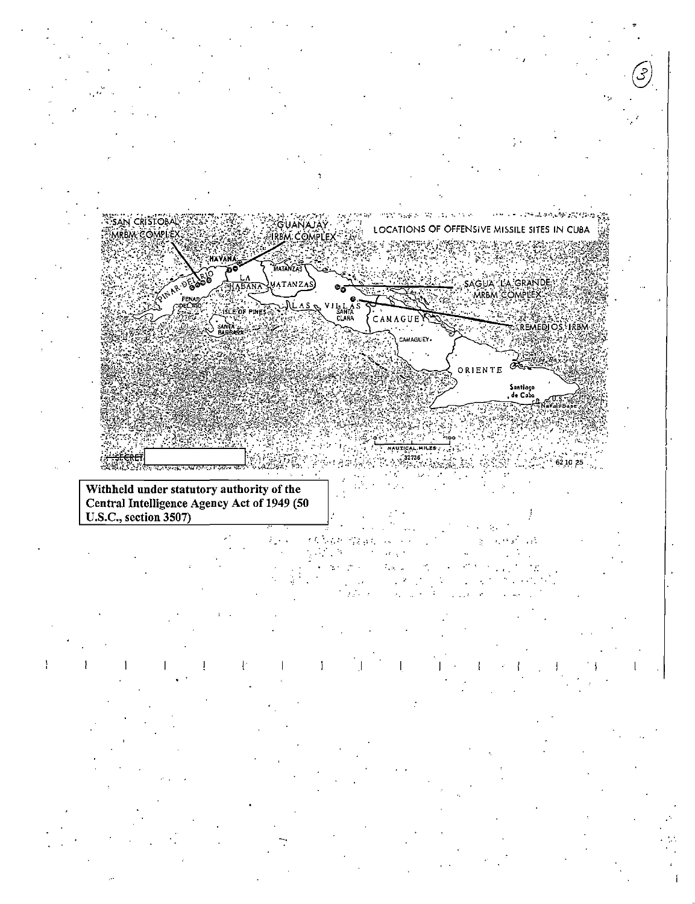

 $\frac{1}{1}$ Ţ Ţ.

T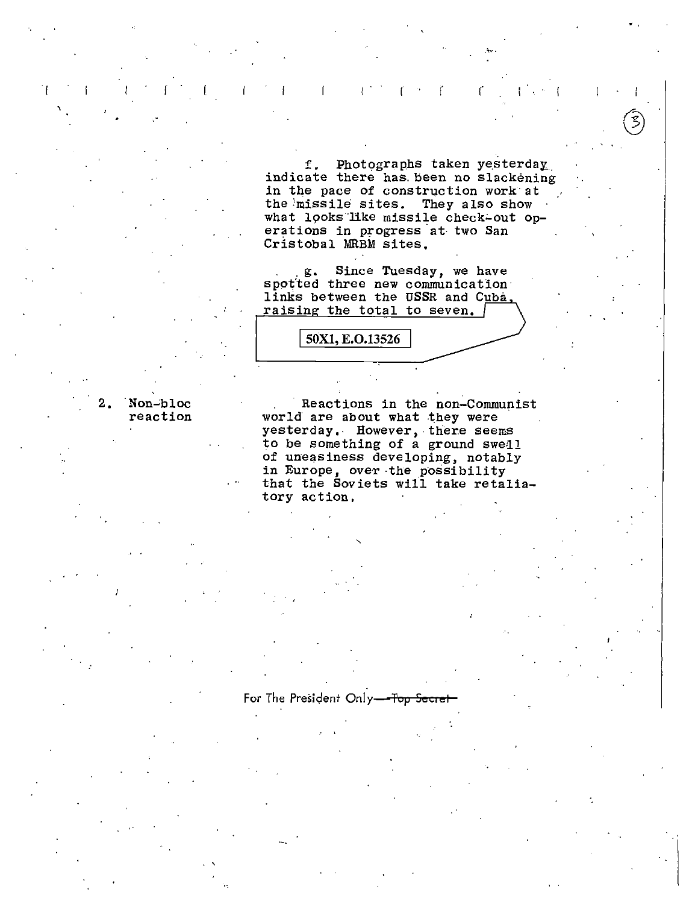f. Photographs taken yesterday indicate there has been no slackening in the pace of construction work at the missile sites. They also show what looks like missile check-out operations in progress at two San Cristobal MRBM sites.

Ť.

Since Tuesday, we have g. spotted three new communication links between the USSR and Cuba, raising the total to seven. /

50X1, E.O.13526

Reactions in the non-Communist world are about what they were yesterday. However, there seems to be something of a ground swell of uneasiness developing, notably in Europe, over the possibility that the Soviets will take retaliatory action.

 $2.$ Non-bloc reaction

For The President Only-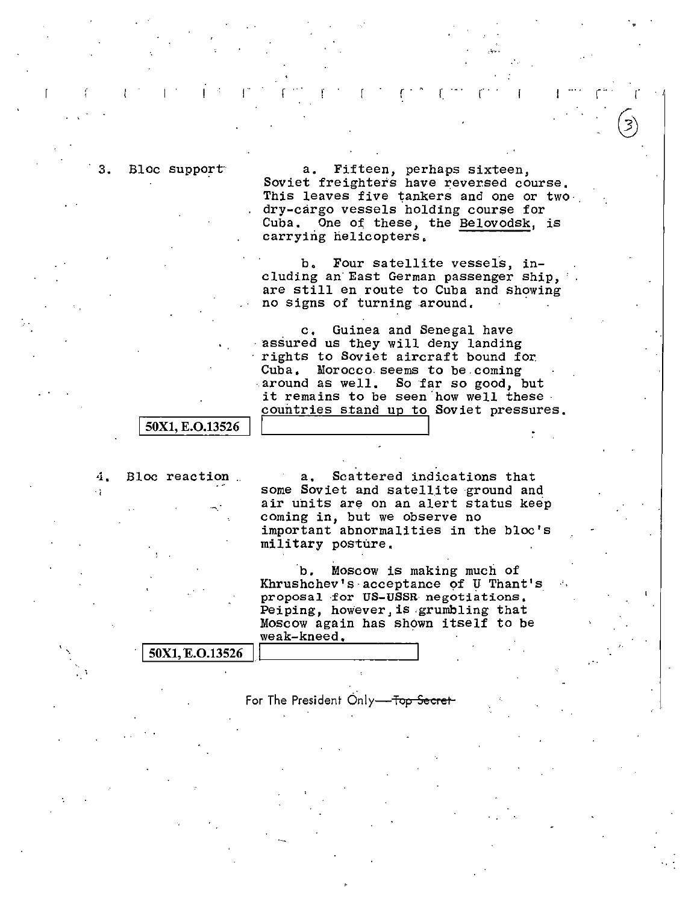Bloc support<sup>-</sup> a. Fifteen, perhaps sixteen, Soviet freighters have reversed course, This leaves five tankers and one or twodry-cargo vessels holding course for Cuba. One of these, the Belovodsk, is carrying helicopters,

.':···

 $\mathcal{L}^{(1,2)}$  .  $\mathcal{L}^{(2,1)}$  ,  $\mathcal{L}^{(1,2)}$  ,  $\mathcal{L}^{(1,1)}$  ,  $\mathcal{L}^{(2,1)}$  ,  $\mathcal{L}^{(2,1)}$ 

b. Four satellite vessels, including an· East German passenger ship, are still en route to Cuba and showing no signs of turning around.

c. Guinea and Senegal have<br>assured us they will deny landing rights to Soviet aircraft bound for. Cuba, Morocco.seems to be.coming  $around$  as well. So far so good, but it remains to be seen how well these. countries stand up to Soviet pressures,

#### 50X1, E.O.13526

4. Bloc reaction a. Scattered indications that 4. Bloc reaction a. Scattered indications that<br>some Soviet and satellite ground and air units are on an alert status keep coming in, but we observe no important abnormalities in the bloc's military posture.

> ·b. Moscow is making much of Khrushchev's·acceptance of U Thant's proposal ·for US-USSR negotiations, Peiping, however, is .grumbling that Moscow again has shown itself to be  $weak-kneed.$

| 50X1, E.O.13526 |  |
|-----------------|--|

For The President Only-Top Secret-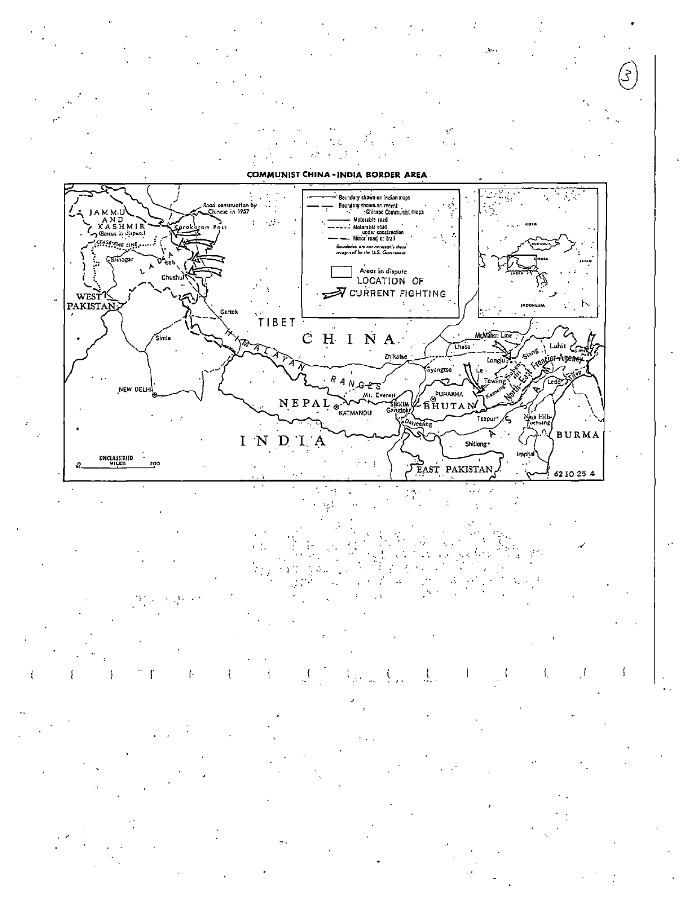**COMMUNIST CHINA-INDIA BORDER AREA**  $\mathcal{L}^{\bullet}$  . ÷.



÷t

Ł f  $\cdot$ Ł ÷ t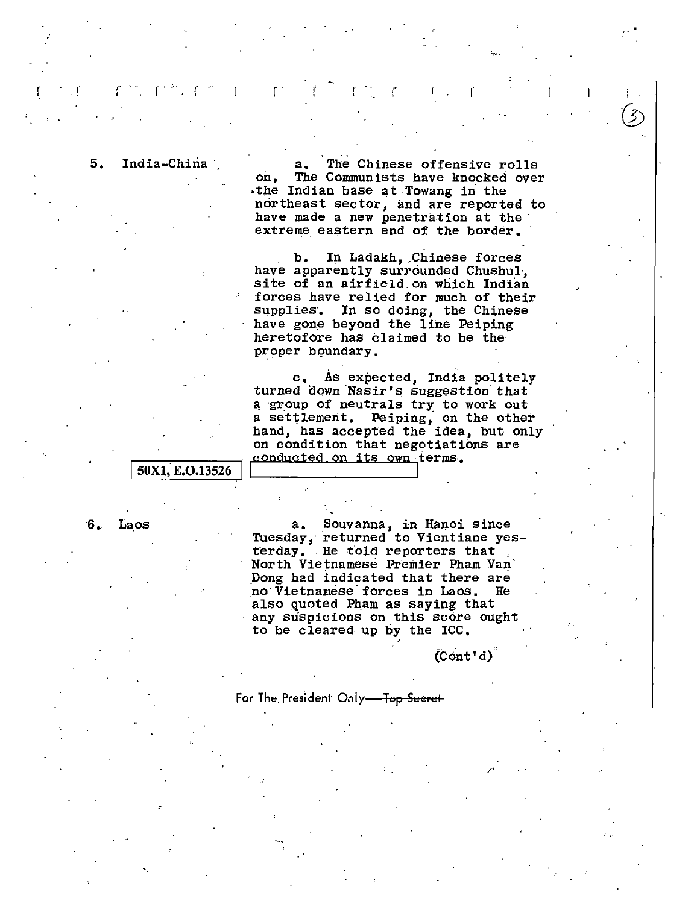$r = \epsilon$  ) , and  $\epsilon$  , i.e. ,  $\epsilon$  , and  $\epsilon$  ,  $\epsilon$  ,  $\epsilon$ 

 $\mathbf{r}$  and  $\mathbf{r}$  is the contribution of  $\mathbf{r}$ 

'

*:* 

5. India-China<sup>\*</sup>, a. The Chinese offensive rolls<br>on. The Communists have knocked ove: The Communists have knocked over -the Indian base at .Towang in the northeast sector, and are reported to<br>have made a new penetration at the extreme eastern end of the border.

> b. In Ladakh, .Chinese forces have apparently surrounded Chushul·, site of an airfield.on which Indian forces have relied for much of their supplies. In so doing, the Chinese have gone beyond the line Peiping heretofore has claimed to be the proper boundary.

c, As expected, India politely· turned down Nasir's suggestion that a group of neutrals try to work out a settlement. Peiping, on the other hand, has accepted the idea, but only on condition that negotiations are  $\overline{\text{50X1, E.O.13526}}$  conducted on its own terms.

•.

6. Laos a. Souvanna, in Hanoi since Tuesday, returned to Vientiane yesterday. He told reporters that .<br>North Vietnamese Premier Pham Van .Dong had indicated that there are no·Vietnamese·forces in Laos. He also quoted Pham as saying that any suspicions on this score ought to be cleared up by the ICC,

 $(Cont d)$ 

For The President Only-Top Secret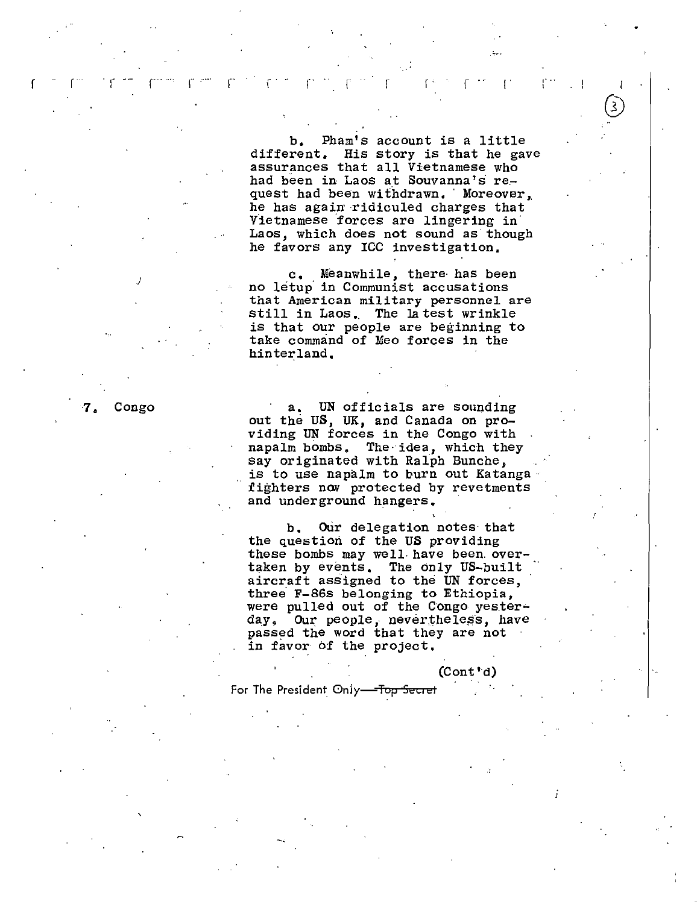b, Pham's account is a little different, His story is that he gave assurances that all Vietnamese who had been in Laos at Souvanna's request had been withdrawn. Moreover, he has again ridiculed charges that Vietnamese forces are lingering in Laos, which does not sound as though he favors any ICC investigation.

 $\bigcirc$ 

In the contract of the contract of the contract of  $\mathcal{L}_1$ 

 $r$  , respectively. The results of  $r$  is  $r$  if  $r$  if  $r$  if  $r$  if  $r$  if  $r$  if  $r$  if  $r$  . The  $r$ 

c. Meanwhile, there has been<br>no letup in Communist accusations that American military personnel are still in Laos. The latest wrinkle is that our people are beginning to take command of Meo forces in the hinterland,

7. Congo a. UN officials are sounding out the US, UK, and Canada on providing UN forces in the Congo with napalm bombs. The idea, which they say originated with Ralph Bunche, is to use napalm to burn out Katanga fighters now protected by revetments and underground hangers.

> b. Our delegation notes that the question of the US providing these bombs may well have been overtaken by events. The only US-built aircraft assigned to the UN forces, three F-86s belonging to Ethiopia, were pulled out of the Congo yesterday. Our people *i* neverthele5's, have passed the word that they are not in favor of the project.

> > (Cont'd)

For The President Only-Top Secret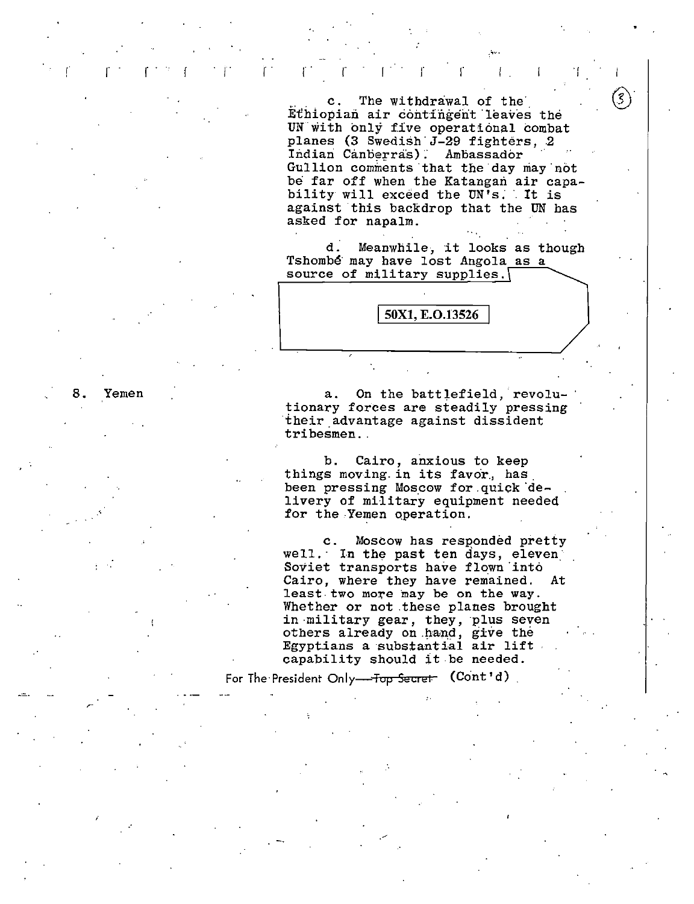, respectively. The results of the results of  $\mathbf{r}$  ,  $\mathbf{r}$  is a set of  $\mathbf{r}$ 

c. The withdrawal of the Ethiopian air contingent leaves the UN with only five operational combat planes (3 Swedish J-29 fighters, 2<br>Indian Canberras). Ambassador

Gullion comments that the day may not be far off when the Katangan air capability will exceed the UN's. It is against this backdrop that the UN has asked for napalm.

.......

 $\mathcal{S}$ 

d. Meanwhile, it looks as though Tshombé may have lost Angola as a source of military supplies.

50X1, E.O.13526

8. Yemen a. On the battlefield, revolutionary forces are steadily pressing their advantage against dissident tribesmen.

> b. Cairo, anxious to keep things moving. in its favor., has. been pressing Moscow for quick delivery of military equipment needed for the Yemen operation.

c. Moscow has responded pretty well. In the past ten days, eleven: Soviet transports have flown into Cairo, where they have remained. At least two more may be on the way. Whether or not these planes brought in military gear, they, plus seven others already on hand, give the Egyptians a substantial air lift capability should it be needed.

For The President Only<del> Top Secret (Cont'd)</del>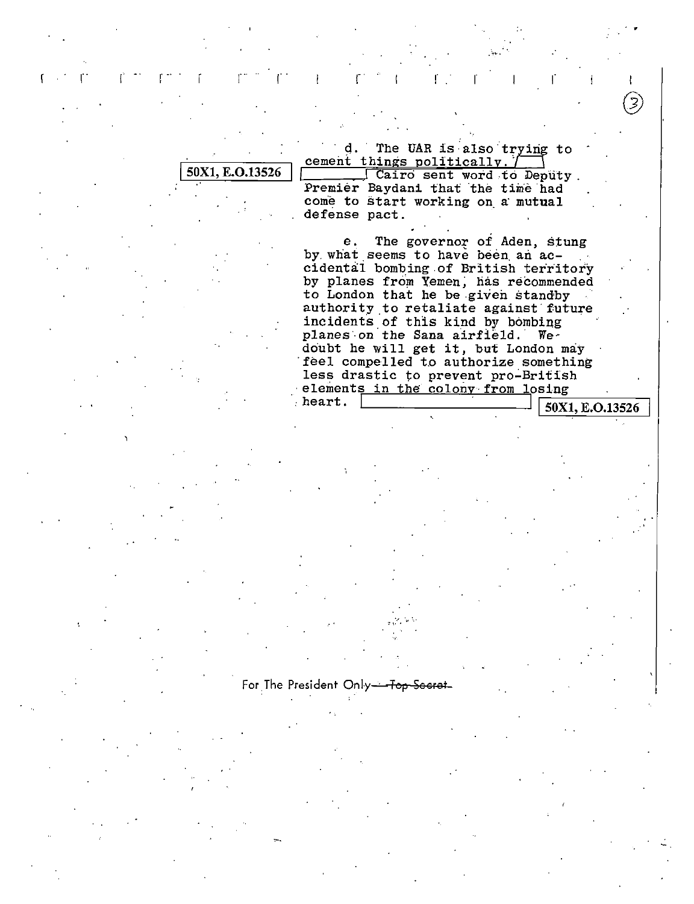d. The UAR is also trying to cement things politically.

50X1, E.O.13526

Cairo sent word to Deputy. Premier Baydani that the time had come to start working on a mutual defense pact.

The governor of Aden, stung e. by what seems to have been an accidental bombing of British territory by planes from Yemen, has recommended to London that he be given standby authority to retaliate against future incidents of this kind by bombing planes on the Sana airfield. Wedoubt he will get it, but London may feel compelled to authorize something less drastic to prevent pro-British elements in the colony from losing heart.

50X1, E.O.13526

For The President Only-᠊᠊ᠯᡂ <del>Secret</del>